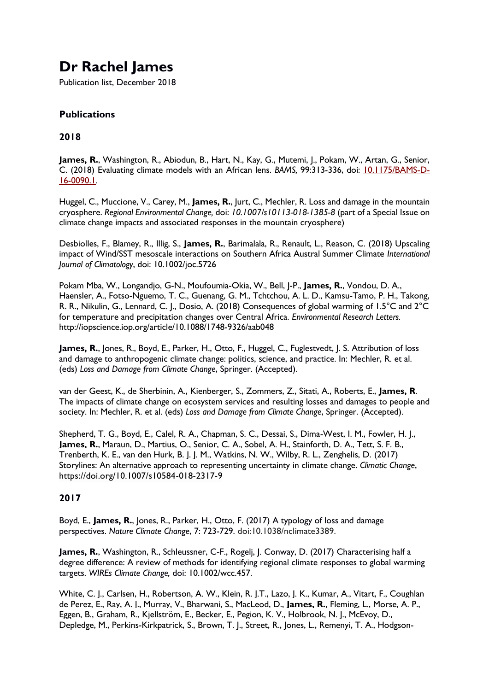# **Dr Rachel James**

Publication list, December 2018

## **Publications**

## **2018**

James, R., Washington, R., Abiodun, B., Hart, N., Kay, G., Mutemi, J., Pokam, W., Artan, G., Senior, C. (2018) Evaluating climate models with an African lens. *BAMS,* 99:313-336, doi: [10.1175/BAMS-D-](https://doi.org/10.1175/BAMS-D-16-0090.1)[16-0090.1.](https://doi.org/10.1175/BAMS-D-16-0090.1)

Huggel, C., Muccione, V., Carey, M., **James, R.**, Jurt, C., Mechler, R. Loss and damage in the mountain cryosphere. *Regional Environmental Change,* doi: *10.1007/s10113-018-1385-8* (part of a Special Issue on climate change impacts and associated responses in the mountain cryosphere)

Desbiolles, F., Blamey, R., Illig, S., **James, R.**, Barimalala, R., Renault, L., Reason, C. (2018) Upscaling impact of Wind/SST mesoscale interactions on Southern Africa Austral Summer Climate *International Journal of Climatology*, doi: 10.1002/joc.5726

Pokam Mba, W., Longandjo, G-N., Moufoumia-Okia, W., Bell, J-P., **James, R.**, Vondou, D. A., Haensler, A., Fotso-Nguemo, T. C., Guenang, G. M., Tchtchou, A. L. D., Kamsu-Tamo, P. H., Takong, R. R., Nikulin, G., Lennard, C. J., Dosio, A. (2018) Consequences of global warming of 1.5°C and 2°C for temperature and precipitation changes over Central Africa. *Environmental Research Letters.* <http://iopscience.iop.org/article/10.1088/1748-9326/aab048>

James, R., Jones, R., Boyd, E., Parker, H., Otto, F., Huggel, C., Fuglestvedt, J. S. Attribution of loss and damage to anthropogenic climate change: politics, science, and practice. In: Mechler, R. et al. (eds) *Loss and Damage from Climate Change*, Springer. (Accepted).

van der Geest, K., de Sherbinin, A., Kienberger, S., Zommers, Z., Sitati, A., Roberts, E., **James, R**. The impacts of climate change on ecosystem services and resulting losses and damages to people and society. In: Mechler, R. et al. (eds) *Loss and Damage from Climate Change*, Springer. (Accepted).

Shepherd, T. G., Boyd, E., Calel, R. A., Chapman, S. C., Dessai, S., Dima-West, I. M., Fowler, H. J., **James, R.**, Maraun, D., Martius, O., Senior, C. A., Sobel, A. H., Stainforth, D. A., Tett, S. F. B., Trenberth, K. E., van den Hurk, B. J. J. M., Watkins, N. W., Wilby, R. L., Zenghelis, D. (2017) Storylines: An alternative approach to representing uncertainty in climate change. *Climatic Change*, https://doi.org/10.1007/s10584-018-2317-9

## **2017**

Boyd, E., **James, R.**, Jones, R., Parker, H., Otto, F. (2017) A typology of loss and damage perspectives. *Nature Climate Change*, 7: 723-729. doi:10.1038/nclimate3389.

**James, R.**, Washington, R., Schleussner, C-F., Rogelj, J. Conway, D. (2017) Characterising half a degree difference: A review of methods for identifying regional climate responses to global warming targets. *WIREs Climate Change,* doi: 10.1002/wcc.457.

White, C. J., Carlsen, H., Robertson, A. W., Klein, R. J.T., Lazo, J. K., Kumar, A., Vitart, F., Coughlan de Perez, E., Ray, A. J., Murray, V., Bharwani, S., MacLeod, D., **James, R.**, Fleming, L., Morse, A. P., Eggen, B., Graham, R., Kjellström, E., Becker, E., Pegion, K. V., Holbrook, N. J., McEvoy, D., Depledge, M., Perkins-Kirkpatrick, S., Brown, T. J., Street, R., Jones, L., Remenyi, T. A., Hodgson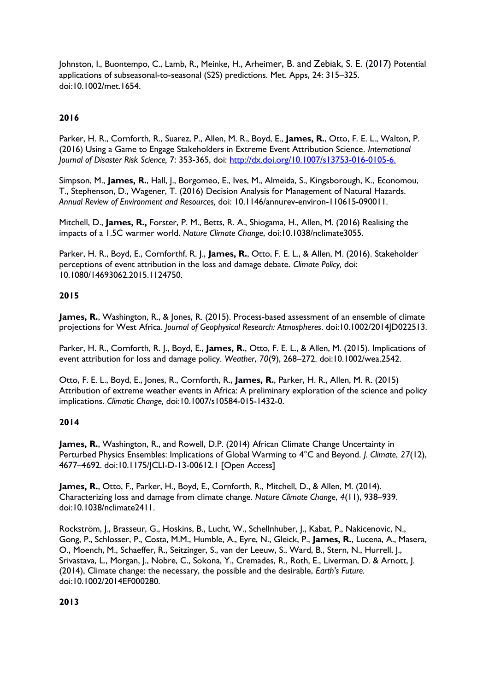Johnston, I., Buontempo, C., Lamb, R., Meinke, H., Arheimer, B. and Zebiak, S. E. (2017) Potential applications of subseasonal-to-seasonal (S2S) predictions. Met. Apps, 24: 315–325. doi:10.1002/met.1654.

## **2016**

Parker, H. R., Cornforth, R., Suarez, P., Allen, M. R., Boyd, E., **James, R.**, Otto, F. E. L., Walton, P. (2016) Using a Game to Engage Stakeholders in Extreme Event Attribution Science. *International Journal of Disaster Risk Science,* 7: 353-365, doi: [http://dx.doi.org/10.1007/s13753-016-0105-6.](http://dx.doi.org/10.1007/s13753-016-0105-6)

Simpson, M., **James, R.**, Hall, J., Borgomeo, E., Ives, M., Almeida, S., Kingsborough, K., Economou, T., Stephenson, D., Wagener, T. (2016) Decision Analysis for Management of Natural Hazards. *Annual Review of Environment and Resources,* doi: 10.1146/annurev-environ-110615-090011.

Mitchell, D., **James, R.,** Forster, P. M., Betts, R. A., Shiogama, H., Allen, M. (2016) Realising the impacts of a 1.5C warmer world. *Nature Climate Change*, doi:10.1038/nclimate3055.

Parker, H. R., Boyd, E., Cornforthf, R. J., **James, R.**, Otto, F. E. L., & Allen, M. (2016). Stakeholder perceptions of event attribution in the loss and damage debate. *Climate Policy,* doi: 10.1080/14693062.2015.1124750.

### **2015**

James, R., Washington, R., & Jones, R. (2015). Process-based assessment of an ensemble of climate projections for West Africa. *Journal of Geophysical Research: Atmospheres*. doi:10.1002/2014JD022513.

Parker, H. R., Cornforth, R. J., Boyd, E., **James, R.**, Otto, F. E. L., & Allen, M. (2015). Implications of event attribution for loss and damage policy. *Weather*, *70*(9), 268–272. doi:10.1002/wea.2542.

Otto, F. E. L., Boyd, E., Jones, R., Cornforth, R., **James, R.**, Parker, H. R., Allen, M. R. (2015) Attribution of extreme weather events in Africa: A preliminary exploration of the science and policy implications. *Climatic Change,* doi:10.1007/s10584-015-1432-0.

#### **2014**

James, R., Washington, R., and Rowell, D.P. (2014) African Climate Change Uncertainty in Perturbed Physics Ensembles: Implications of Global Warming to 4°C and Beyond. *J. Climate*, *27*(12), 4677–4692. doi:10.1175/JCLI-D-13-00612.1 [Open Access]

**James, R.**, Otto, F., Parker, H., Boyd, E., Cornforth, R., Mitchell, D., & Allen, M. (2014). Characterizing loss and damage from climate change. *Nature Climate Change*, *4*(11), 938–939. doi:10.1038/nclimate2411.

Rockström, J., Brasseur, G., Hoskins, B., Lucht, W., Schellnhuber, J., Kabat, P., Nakicenovic, N., Gong, P., Schlosser, P., Costa, M.M., Humble, A., Eyre, N., Gleick, P., **James, R.**, Lucena, A., Masera, O., Moench, M., Schaeffer, R., Seitzinger, S., van der Leeuw, S., Ward, B., Stern, N., Hurrell, J., Srivastava, L., Morgan, J., Nobre, C., Sokona, Y., Cremades, R., Roth, E., Liverman, D. & Arnott, J. (2014), Climate change: the necessary, the possible and the desirable, *Earth's Future.* doi:10.1002/2014EF000280.

#### **2013**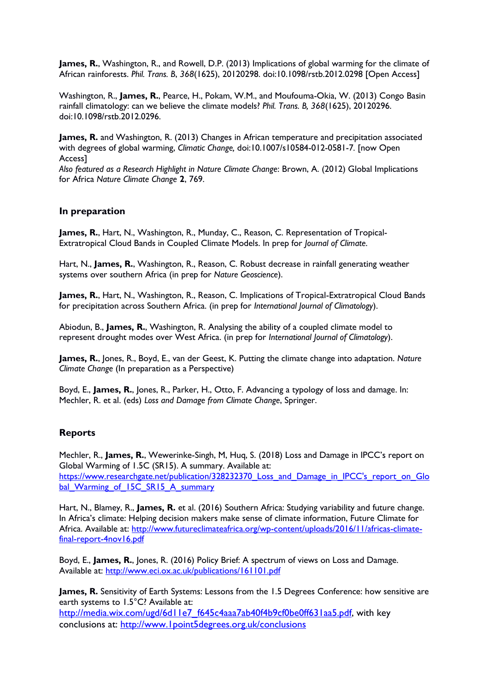**James, R.**, Washington, R., and Rowell, D.P. (2013) Implications of global warming for the climate of African rainforests. *Phil. Trans. B*, *368*(1625), 20120298. doi:10.1098/rstb.2012.0298 [Open Access]

Washington, R., **James, R.**, Pearce, H., Pokam, W.M., and Moufouma-Okia, W. (2013) Congo Basin rainfall climatology: can we believe the climate models? *Phil. Trans. B, 368*(1625), 20120296. doi:10.1098/rstb.2012.0296.

**James, R.** and Washington, R. (2013) Changes in African temperature and precipitation associated with degrees of global warming, *Climatic Change,* doi:10.1007/s10584-012-0581-7*.* [now Open Access]

*Also featured as a Research Highlight in Nature Climate Change*: Brown, A. (2012) Global Implications for Africa *Nature Climate Change* **2**, 769.

#### **In preparation**

**James, R.**, Hart, N., Washington, R., Munday, C., Reason, C. Representation of Tropical-Extratropical Cloud Bands in Coupled Climate Models. In prep for *Journal of Climate*.

Hart, N., **James, R.**, Washington, R., Reason, C. Robust decrease in rainfall generating weather systems over southern Africa (in prep for *Nature Geoscience*).

**James, R.**, Hart, N., Washington, R., Reason, C. Implications of Tropical-Extratropical Cloud Bands for precipitation across Southern Africa. (in prep for *International Journal of Climatology*).

Abiodun, B., **James, R.**, Washington, R. Analysing the ability of a coupled climate model to represent drought modes over West Africa. (in prep for *International Journal of Climatology*).

**James, R.**, Jones, R., Boyd, E., van der Geest, K. Putting the climate change into adaptation. *Nature Climate Change* (In preparation as a Perspective)

Boyd, E., **James, R.**, Jones, R., Parker, H., Otto, F. Advancing a typology of loss and damage. In: Mechler, R. et al. (eds) *Loss and Damage from Climate Change*, Springer.

#### **Reports**

Mechler, R., **James, R.**, Wewerinke-Singh, M, Huq, S. (2018) Loss and Damage in IPCC's report on Global Warming of 1.5C (SR15). A summary. Available at: https://www.researchgate.net/publication/328232370 Loss\_and\_Damage\_in\_IPCC's\_report\_on\_Glo [bal\\_Warming\\_of\\_15C\\_SR15\\_A\\_summary](https://www.researchgate.net/publication/328232370_Loss_and_Damage_in_IPCC)

Hart, N., Blamey, R., **James, R.** et al. (2016) Southern Africa: Studying variability and future change. In Africa's climate: Helping decision makers make sense of climate information, Future Climate for Africa. Available at: [http://www.futureclimateafrica.org/wp-content/uploads/2016/11/africas-climate](http://www.futureclimateafrica.org/wp-content/uploads/2016/11/africas-climate-final-report-4nov16.pdf)[final-report-4nov16.pdf](http://www.futureclimateafrica.org/wp-content/uploads/2016/11/africas-climate-final-report-4nov16.pdf)

Boyd, E., **James, R.**, Jones, R. (2016) Policy Brief: A spectrum of views on Loss and Damage. Available at:<http://www.eci.ox.ac.uk/publications/161101.pdf>

**James, R.** Sensitivity of Earth Systems: Lessons from the 1.5 Degrees Conference: how sensitive are earth systems to 1.5°C? Available at: [http://media.wix.com/ugd/6d11e7\\_f645c4aaa7ab40f4b9cf0be0ff631aa5.pdf,](http://media.wix.com/ugd/6d11e7_f645c4aaa7ab40f4b9cf0be0ff631aa5.pdf) with key conclusions at:<http://www.1point5degrees.org.uk/conclusions>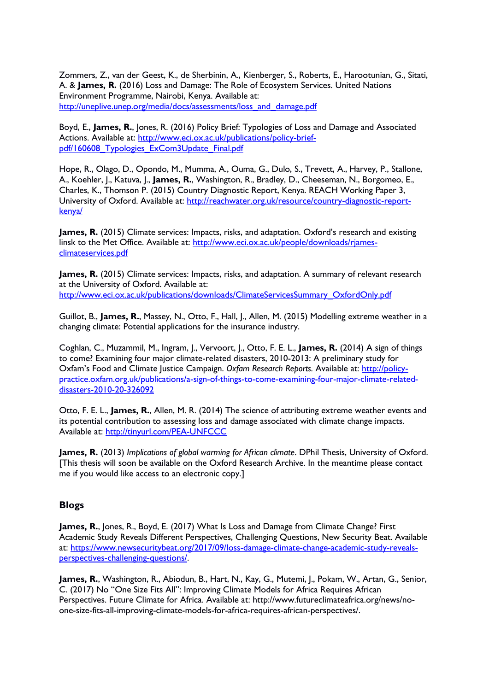Zommers, Z., van der Geest, K., de Sherbinin, A., Kienberger, S., Roberts, E., Harootunian, G., Sitati, A. & **James, R.** (2016) Loss and Damage: The Role of Ecosystem Services. United Nations Environment Programme, Nairobi, Kenya. Available at: [http://uneplive.unep.org/media/docs/assessments/loss\\_and\\_damage.pdf](http://uneplive.unep.org/media/docs/assessments/loss_and_damage.pdf)

Boyd, E., **James, R.**, Jones, R. (2016) Policy Brief: Typologies of Loss and Damage and Associated Actions. Available at: [http://www.eci.ox.ac.uk/publications/policy-brief](http://www.eci.ox.ac.uk/publications/policy-brief-pdf/160608_Typologies_ExCom3Update_Final.pdf)[pdf/160608\\_Typologies\\_ExCom3Update\\_Final.pdf](http://www.eci.ox.ac.uk/publications/policy-brief-pdf/160608_Typologies_ExCom3Update_Final.pdf)

Hope, R., Olago, D., Opondo, M., Mumma, A., Ouma, G., Dulo, S., Trevett, A., Harvey, P., Stallone, A., Koehler, J., Katuva, J., **James, R.**, Washington, R., Bradley, D., Cheeseman, N., Borgomeo, E., Charles, K., Thomson P. (2015) Country Diagnostic Report, Kenya. REACH Working Paper 3, University of Oxford. Available at: [http://reachwater.org.uk/resource/country-diagnostic-report](http://reachwater.org.uk/resource/country-diagnostic-report-kenya/)[kenya/](http://reachwater.org.uk/resource/country-diagnostic-report-kenya/)

**James, R.** (2015) Climate services: Impacts, risks, and adaptation. Oxford's research and existing linsk to the Met Office. Available at: [http://www.eci.ox.ac.uk/people/downloads/rjames](http://www.eci.ox.ac.uk/people/downloads/rjames-climateservices.pdf)[climateservices.pdf](http://www.eci.ox.ac.uk/people/downloads/rjames-climateservices.pdf)

**James, R.** (2015) Climate services: Impacts, risks, and adaptation. A summary of relevant research at the University of Oxford. Available at: [http://www.eci.ox.ac.uk/publications/downloads/ClimateServicesSummary\\_OxfordOnly.pdf](http://www.eci.ox.ac.uk/publications/downloads/ClimateServicesSummary_OxfordOnly.pdf)

Guillot, B., **James, R.**, Massey, N., Otto, F., Hall, J., Allen, M. (2015) Modelling extreme weather in a changing climate: Potential applications for the insurance industry.

Coghlan, C., Muzammil, M., Ingram, J., Vervoort, J., Otto, F. E. L., **James, R.** (2014) A sign of things to come? Examining four major climate-related disasters, 2010-2013: A preliminary study for Oxfam's Food and Climate Justice Campaign. *Oxfam Research Reports.* Available at: [http://policy](http://policy-practice.oxfam.org.uk/publications/a-sign-of-things-to-come-examining-four-major-climate-related-disasters-2010-20-326092)[practice.oxfam.org.uk/publications/a-sign-of-things-to-come-examining-four-major-climate-related](http://policy-practice.oxfam.org.uk/publications/a-sign-of-things-to-come-examining-four-major-climate-related-disasters-2010-20-326092)[disasters-2010-20-326092](http://policy-practice.oxfam.org.uk/publications/a-sign-of-things-to-come-examining-four-major-climate-related-disasters-2010-20-326092)

Otto, F. E. L., **James, R.**, Allen, M. R. (2014) The science of attributing extreme weather events and its potential contribution to assessing loss and damage associated with climate change impacts. Available at:<http://tinyurl.com/PEA-UNFCCC>

**James, R.** (2013) *Implications of global warming for African climate*. DPhil Thesis, University of Oxford. [This thesis will soon be available on the Oxford Research Archive. In the meantime please contact me if you would like access to an electronic copy.]

#### **Blogs**

**James, R.**, Jones, R., Boyd, E. (2017) What Is Loss and Damage from Climate Change? First Academic Study Reveals Different Perspectives, Challenging Questions, New Security Beat. Available at: [https://www.newsecuritybeat.org/2017/09/loss-damage-climate-change-academic-study-reveals](https://www.newsecuritybeat.org/2017/09/loss-damage-climate-change-academic-study-reveals-perspectives-challenging-questions/)[perspectives-challenging-questions/.](https://www.newsecuritybeat.org/2017/09/loss-damage-climate-change-academic-study-reveals-perspectives-challenging-questions/)

**James, R.**, Washington, R., Abiodun, B., Hart, N., Kay, G., Mutemi, J., Pokam, W., Artan, G., Senior, C. (2017) No "One Size Fits All": Improving Climate Models for Africa Requires African Perspectives. Future Climate for Africa. Available at: http://www.futureclimateafrica.org/news/noone-size-fits-all-improving-climate-models-for-africa-requires-african-perspectives/.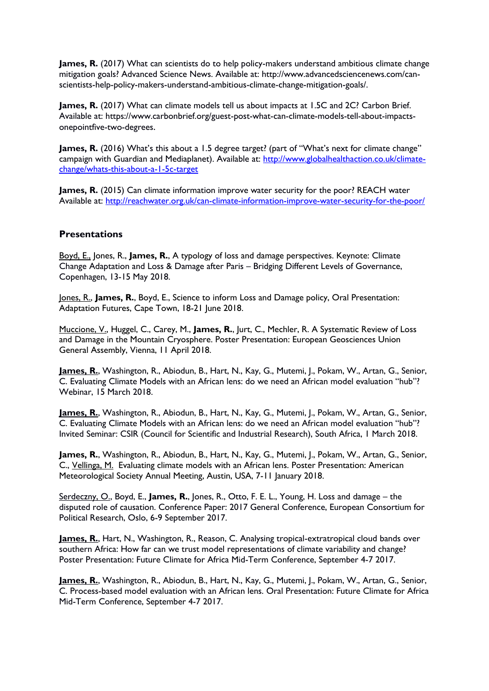James, R. (2017) What can scientists do to help policy-makers understand ambitious climate change mitigation goals? Advanced Science News. Available at: http://www.advancedsciencenews.com/canscientists-help-policy-makers-understand-ambitious-climate-change-mitigation-goals/.

**James, R.** (2017) What can climate models tell us about impacts at 1.5C and 2C? Carbon Brief. Available at: https://www.carbonbrief.org/guest-post-what-can-climate-models-tell-about-impactsonepointfive-two-degrees.

James, R. (2016) What's this about a 1.5 degree target? (part of "What's next for climate change" campaign with Guardian and Mediaplanet). Available at: [http://www.globalhealthaction.co.uk/climate](http://www.globalhealthaction.co.uk/climate-change/whats-this-about-a-1-5c-target)[change/whats-this-about-a-1-5c-target](http://www.globalhealthaction.co.uk/climate-change/whats-this-about-a-1-5c-target)

**James, R.** (2015) Can climate information improve water security for the poor? REACH water Available at:<http://reachwater.org.uk/can-climate-information-improve-water-security-for-the-poor/>

#### **Presentations**

Boyd, E., Jones, R., **James, R.**, A typology of loss and damage perspectives. Keynote: Climate Change Adaptation and Loss & Damage after Paris – Bridging Different Levels of Governance, Copenhagen, 13-15 May 2018.

Jones, R., **James, R.**, Boyd, E., Science to inform Loss and Damage policy, Oral Presentation: Adaptation Futures, Cape Town, 18-21 June 2018.

Muccione, V., Huggel, C., Carey, M., **James, R.**, Jurt, C., Mechler, R. A Systematic Review of Loss and Damage in the Mountain Cryosphere. Poster Presentation: European Geosciences Union General Assembly, Vienna, 11 April 2018.

James, R., Washington, R., Abiodun, B., Hart, N., Kay, G., Mutemi, J., Pokam, W., Artan, G., Senior, C. Evaluating Climate Models with an African lens: do we need an African model evaluation "hub"? Webinar, 15 March 2018.

**James, R.**, Washington, R., Abiodun, B., Hart, N., Kay, G., Mutemi, J., Pokam, W., Artan, G., Senior, C. Evaluating Climate Models with an African lens: do we need an African model evaluation "hub"? Invited Seminar: CSIR (Council for Scientific and Industrial Research), South Africa, 1 March 2018.

James, R., Washington, R., Abiodun, B., Hart, N., Kay, G., Mutemi, J., Pokam, W., Artan, G., Senior, C., Vellinga, M. Evaluating climate models with an African lens. Poster Presentation: American Meteorological Society Annual Meeting, Austin, USA, 7-11 January 2018.

Serdeczny, O., Boyd, E., **James, R.**, Jones, R., Otto, F. E. L., Young, H. Loss and damage – the disputed role of causation. Conference Paper: 2017 General Conference, European Consortium for Political Research, Oslo, 6-9 September 2017.

**James, R.**, Hart, N., Washington, R., Reason, C. Analysing tropical-extratropical cloud bands over southern Africa: How far can we trust model representations of climate variability and change? Poster Presentation: Future Climate for Africa Mid-Term Conference, September 4-7 2017.

**James, R.**, Washington, R., Abiodun, B., Hart, N., Kay, G., Mutemi, J., Pokam, W., Artan, G., Senior, C. Process-based model evaluation with an African lens. Oral Presentation: Future Climate for Africa Mid-Term Conference, September 4-7 2017.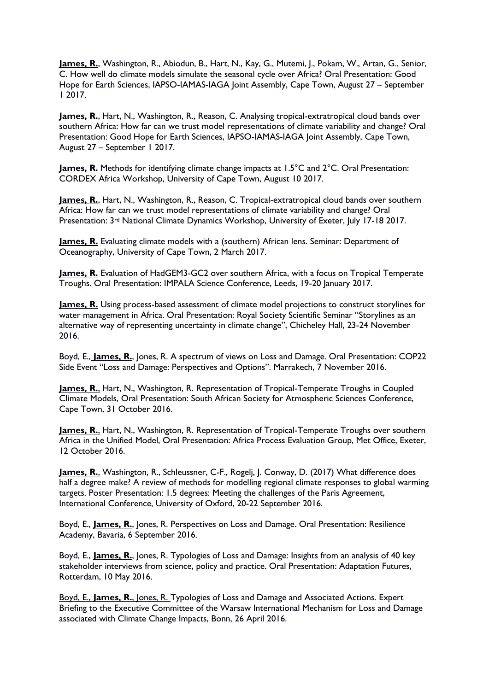**James, R.**, Washington, R., Abiodun, B., Hart, N., Kay, G., Mutemi, J., Pokam, W., Artan, G., Senior, C. How well do climate models simulate the seasonal cycle over Africa? Oral Presentation: Good Hope for Earth Sciences, IAPSO-IAMAS-IAGA Joint Assembly, Cape Town, August 27 – September 1 2017.

**James, R.**, Hart, N., Washington, R., Reason, C. Analysing tropical-extratropical cloud bands over southern Africa: How far can we trust model representations of climate variability and change? Oral Presentation: Good Hope for Earth Sciences, IAPSO-IAMAS-IAGA Joint Assembly, Cape Town, August 27 – September 1 2017.

**James, R.** Methods for identifying climate change impacts at 1.5°C and 2°C. Oral Presentation: CORDEX Africa Workshop, University of Cape Town, August 10 2017.

**James, R.**, Hart, N., Washington, R., Reason, C. Tropical-extratropical cloud bands over southern Africa: How far can we trust model representations of climate variability and change? Oral Presentation: 3<sup>rd</sup> National Climate Dynamics Workshop, University of Exeter, July 17-18 2017.

**James, R.** Evaluating climate models with a (southern) African lens. Seminar: Department of Oceanography, University of Cape Town, 2 March 2017.

**James, R.** Evaluation of HadGEM3-GC2 over southern Africa, with a focus on Tropical Temperate Troughs. Oral Presentation: IMPALA Science Conference, Leeds, 19-20 January 2017.

**James, R.** Using process-based assessment of climate model projections to construct storylines for water management in Africa. Oral Presentation: Royal Society Scientific Seminar "Storylines as an alternative way of representing uncertainty in climate change", Chicheley Hall, 23-24 November 2016.

Boyd, E., **James, R.**, Jones, R. A spectrum of views on Loss and Damage. Oral Presentation: COP22 Side Event "Loss and Damage: Perspectives and Options". Marrakech, 7 November 2016.

**James, R.**, Hart, N., Washington, R. Representation of Tropical-Temperate Troughs in Coupled Climate Models, Oral Presentation: South African Society for Atmospheric Sciences Conference, Cape Town, 31 October 2016.

**James, R., Hart, N., Washington, R. Representation of Tropical-Temperate Troughs over southern** Africa in the Unified Model, Oral Presentation: Africa Process Evaluation Group, Met Office, Exeter, 12 October 2016.

**James, R.**, Washington, R., Schleussner, C-F., Rogelj, J. Conway, D. (2017) What difference does half a degree make? A review of methods for modelling regional climate responses to global warming targets. Poster Presentation: 1.5 degrees: Meeting the challenges of the Paris Agreement, International Conference, University of Oxford, 20-22 September 2016.

Boyd, E., **James, R.**, Jones, R. Perspectives on Loss and Damage. Oral Presentation: Resilience Academy, Bavaria, 6 September 2016.

Boyd, E., **James, R.**, Jones, R. Typologies of Loss and Damage: Insights from an analysis of 40 key stakeholder interviews from science, policy and practice. Oral Presentation: Adaptation Futures, Rotterdam, 10 May 2016.

Boyd, E., **James, R.**, Jones, R. Typologies of Loss and Damage and Associated Actions. Expert Briefing to the Executive Committee of the Warsaw International Mechanism for Loss and Damage associated with Climate Change Impacts, Bonn, 26 April 2016.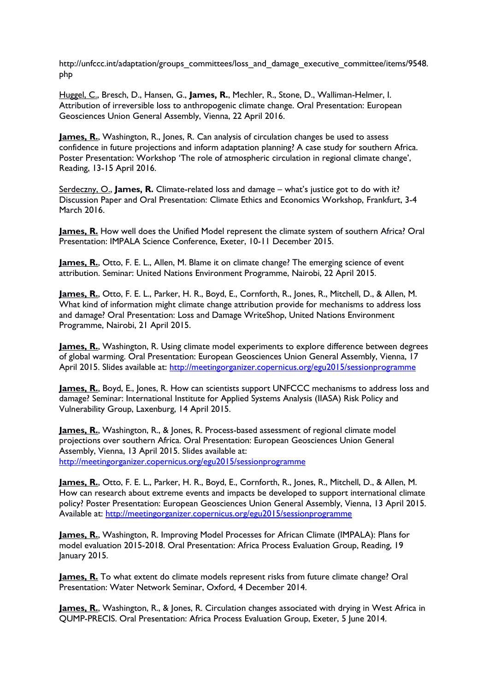http://unfccc.int/adaptation/groups\_committees/loss\_and\_damage\_executive\_committee/items/9548. php

Huggel, C., Bresch, D., Hansen, G., **James, R.**, Mechler, R., Stone, D., Walliman-Helmer, I. Attribution of irreversible loss to anthropogenic climate change. Oral Presentation: European Geosciences Union General Assembly, Vienna, 22 April 2016.

**James, R.**, Washington, R., Jones, R. Can analysis of circulation changes be used to assess confidence in future projections and inform adaptation planning? A case study for southern Africa. Poster Presentation: Workshop 'The role of atmospheric circulation in regional climate change', Reading, 13-15 April 2016.

Serdeczny, O., **James, R.** Climate-related loss and damage – what's justice got to do with it? Discussion Paper and Oral Presentation: Climate Ethics and Economics Workshop, Frankfurt, 3-4 March 2016.

**James, R.** How well does the Unified Model represent the climate system of southern Africa? Oral Presentation: IMPALA Science Conference, Exeter, 10-11 December 2015.

**James, R.**, Otto, F. E. L., Allen, M. Blame it on climate change? The emerging science of event attribution. Seminar: United Nations Environment Programme, Nairobi, 22 April 2015.

**James, R.**, Otto, F. E. L., Parker, H. R., Boyd, E., Cornforth, R., Jones, R., Mitchell, D., & Allen, M. What kind of information might climate change attribution provide for mechanisms to address loss and damage? Oral Presentation: Loss and Damage WriteShop, United Nations Environment Programme, Nairobi, 21 April 2015.

**James, R., Washington, R. Using climate model experiments to explore difference between degrees** of global warming. Oral Presentation: European Geosciences Union General Assembly, Vienna, 17 April 2015. Slides available at:<http://meetingorganizer.copernicus.org/egu2015/sessionprogramme>

**James, R.**, Boyd, E., Jones, R. How can scientists support UNFCCC mechanisms to address loss and damage? Seminar: International Institute for Applied Systems Analysis (IIASA) Risk Policy and Vulnerability Group, Laxenburg, 14 April 2015.

**James, R., Washington, R., & Jones, R. Process-based assessment of regional climate model** projections over southern Africa. Oral Presentation: European Geosciences Union General Assembly, Vienna, 13 April 2015. Slides available at: <http://meetingorganizer.copernicus.org/egu2015/sessionprogramme>

**James, R.**, Otto, F. E. L., Parker, H. R., Boyd, E., Cornforth, R., Jones, R., Mitchell, D., & Allen, M. How can research about extreme events and impacts be developed to support international climate policy? Poster Presentation: European Geosciences Union General Assembly, Vienna, 13 April 2015. Available at:<http://meetingorganizer.copernicus.org/egu2015/sessionprogramme>

**James, R.**, Washington, R. Improving Model Processes for African Climate (IMPALA): Plans for model evaluation 2015-2018. Oral Presentation: Africa Process Evaluation Group, Reading, 19 January 2015.

**James, R.** To what extent do climate models represent risks from future climate change? Oral Presentation: Water Network Seminar, Oxford, 4 December 2014.

**James, R., Washington, R., & Jones, R. Circulation changes associated with drying in West Africa in** QUMP-PRECIS. Oral Presentation: Africa Process Evaluation Group, Exeter, 5 June 2014.